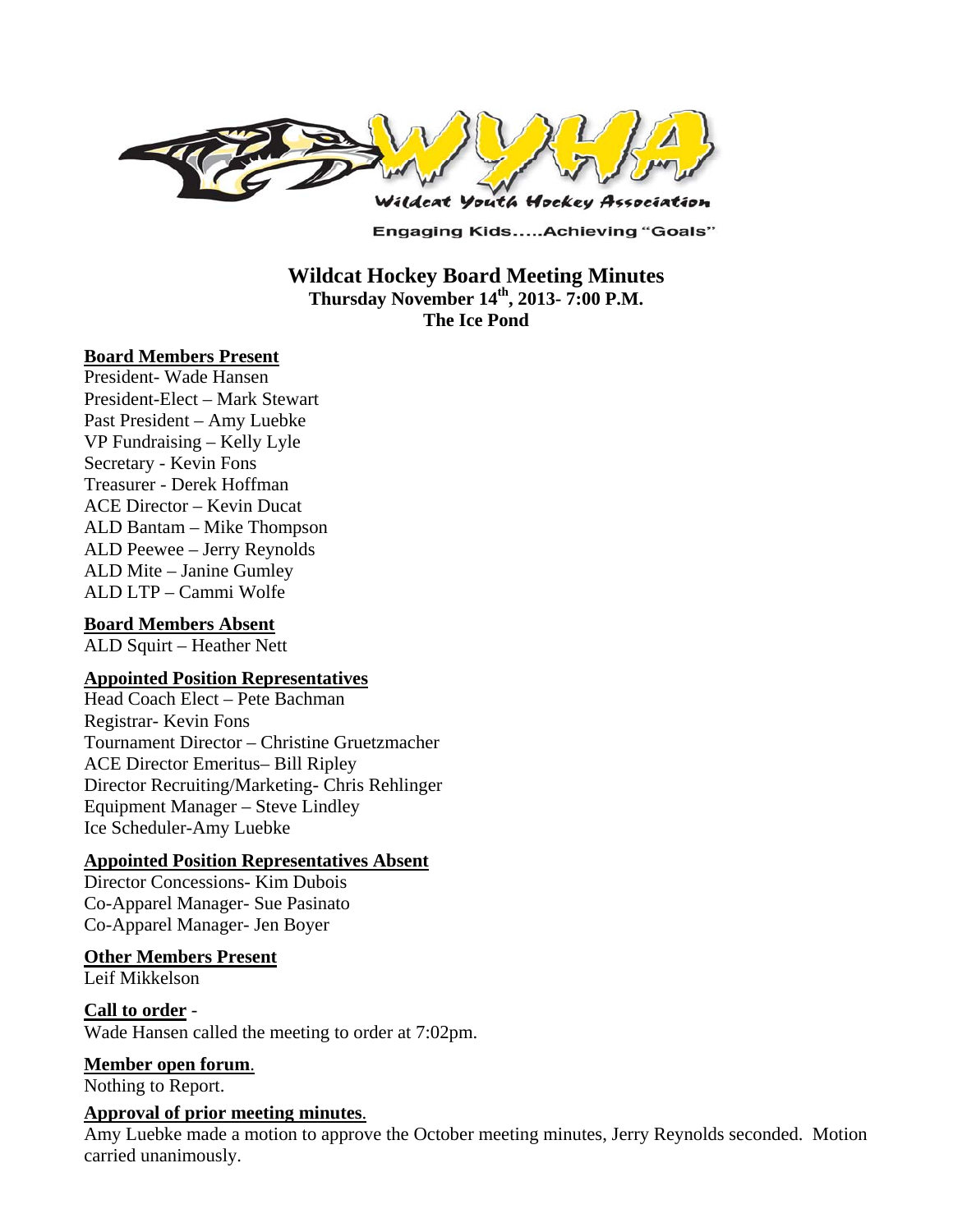

**Engaging Kids.....Achieving "Goals"** 

**Wildcat Hockey Board Meeting Minutes Thursday November 14th, 2013- 7:00 P.M. The Ice Pond** 

### **Board Members Present**

President- Wade Hansen President-Elect – Mark Stewart Past President – Amy Luebke VP Fundraising – Kelly Lyle Secretary - Kevin Fons Treasurer - Derek Hoffman ACE Director – Kevin Ducat ALD Bantam – Mike Thompson ALD Peewee – Jerry Reynolds ALD Mite – Janine Gumley ALD LTP – Cammi Wolfe

### **Board Members Absent**

ALD Squirt – Heather Nett

### **Appointed Position Representatives**

Head Coach Elect – Pete Bachman Registrar- Kevin Fons Tournament Director – Christine Gruetzmacher ACE Director Emeritus– Bill Ripley Director Recruiting/Marketing- Chris Rehlinger Equipment Manager – Steve Lindley Ice Scheduler-Amy Luebke

### **Appointed Position Representatives Absent**

Director Concessions- Kim Dubois Co-Apparel Manager- Sue Pasinato Co-Apparel Manager- Jen Boyer

### **Other Members Present**

Leif Mikkelson

**Call to order** - Wade Hansen called the meeting to order at 7:02pm.

### **Member open forum**.

Nothing to Report.

### **Approval of prior meeting minutes**.

Amy Luebke made a motion to approve the October meeting minutes, Jerry Reynolds seconded. Motion carried unanimously.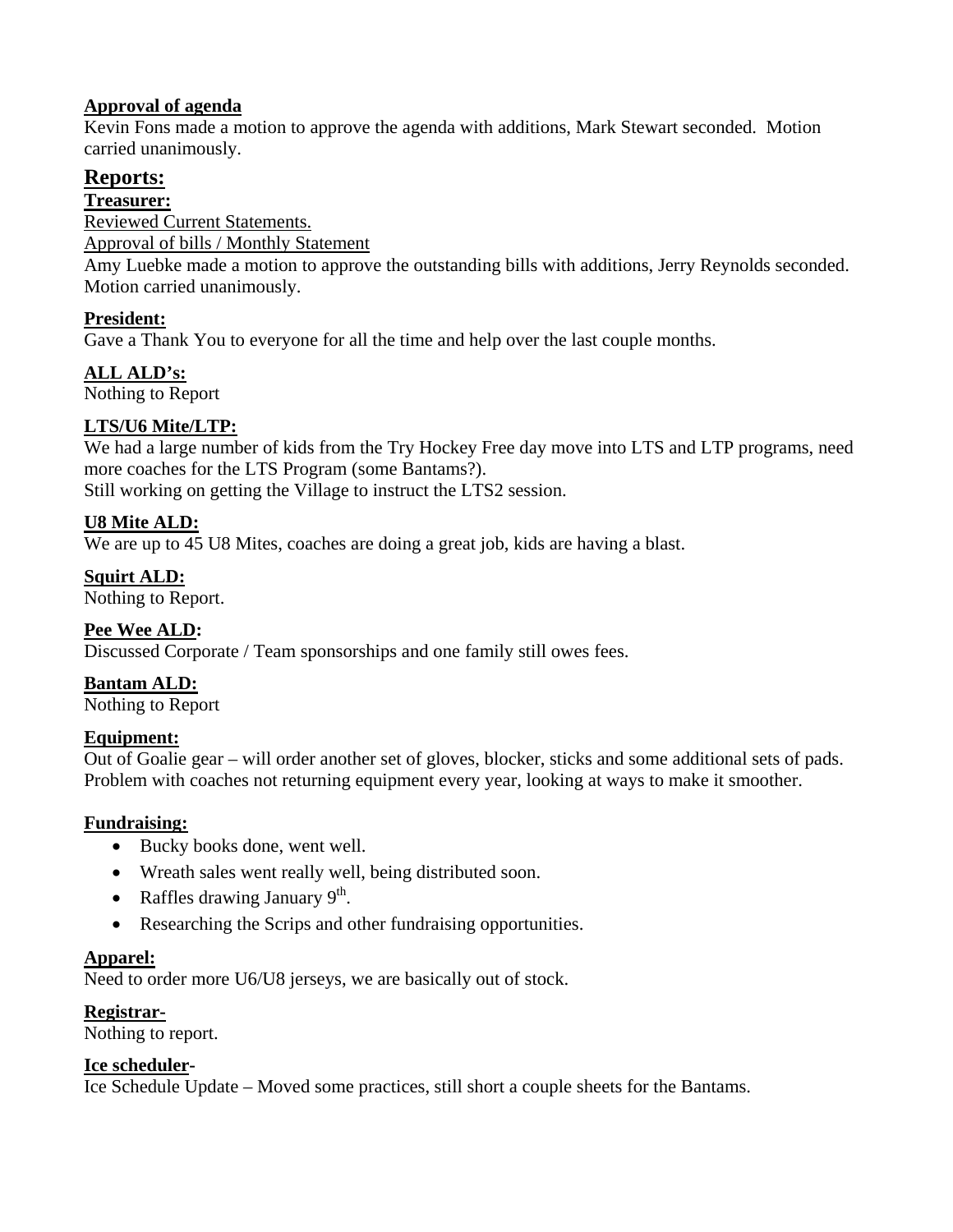## **Approval of agenda**

Kevin Fons made a motion to approve the agenda with additions, Mark Stewart seconded. Motion carried unanimously.

## **Reports:**

**Treasurer:** 

Reviewed Current Statements.

Approval of bills / Monthly Statement

Amy Luebke made a motion to approve the outstanding bills with additions, Jerry Reynolds seconded. Motion carried unanimously.

## **President:**

Gave a Thank You to everyone for all the time and help over the last couple months.

# **ALL ALD's:**

Nothing to Report

## **LTS/U6 Mite/LTP:**

We had a large number of kids from the Try Hockey Free day move into LTS and LTP programs, need more coaches for the LTS Program (some Bantams?).

Still working on getting the Village to instruct the LTS2 session.

## **U8 Mite ALD:**

We are up to 45 U8 Mites, coaches are doing a great job, kids are having a blast.

## **Squirt ALD:**

Nothing to Report.

## **Pee Wee ALD:**

Discussed Corporate / Team sponsorships and one family still owes fees.

**Bantam ALD:** 

Nothing to Report

## **Equipment:**

Out of Goalie gear – will order another set of gloves, blocker, sticks and some additional sets of pads. Problem with coaches not returning equipment every year, looking at ways to make it smoother.

## **Fundraising:**

- Bucky books done, went well.
- Wreath sales went really well, being distributed soon.
- Raffles drawing January  $9<sup>th</sup>$ .
- Researching the Scrips and other fundraising opportunities.

## **Apparel:**

Need to order more U6/U8 jerseys, we are basically out of stock.

## **Registrar-**

Nothing to report.

## **Ice scheduler-**

Ice Schedule Update – Moved some practices, still short a couple sheets for the Bantams.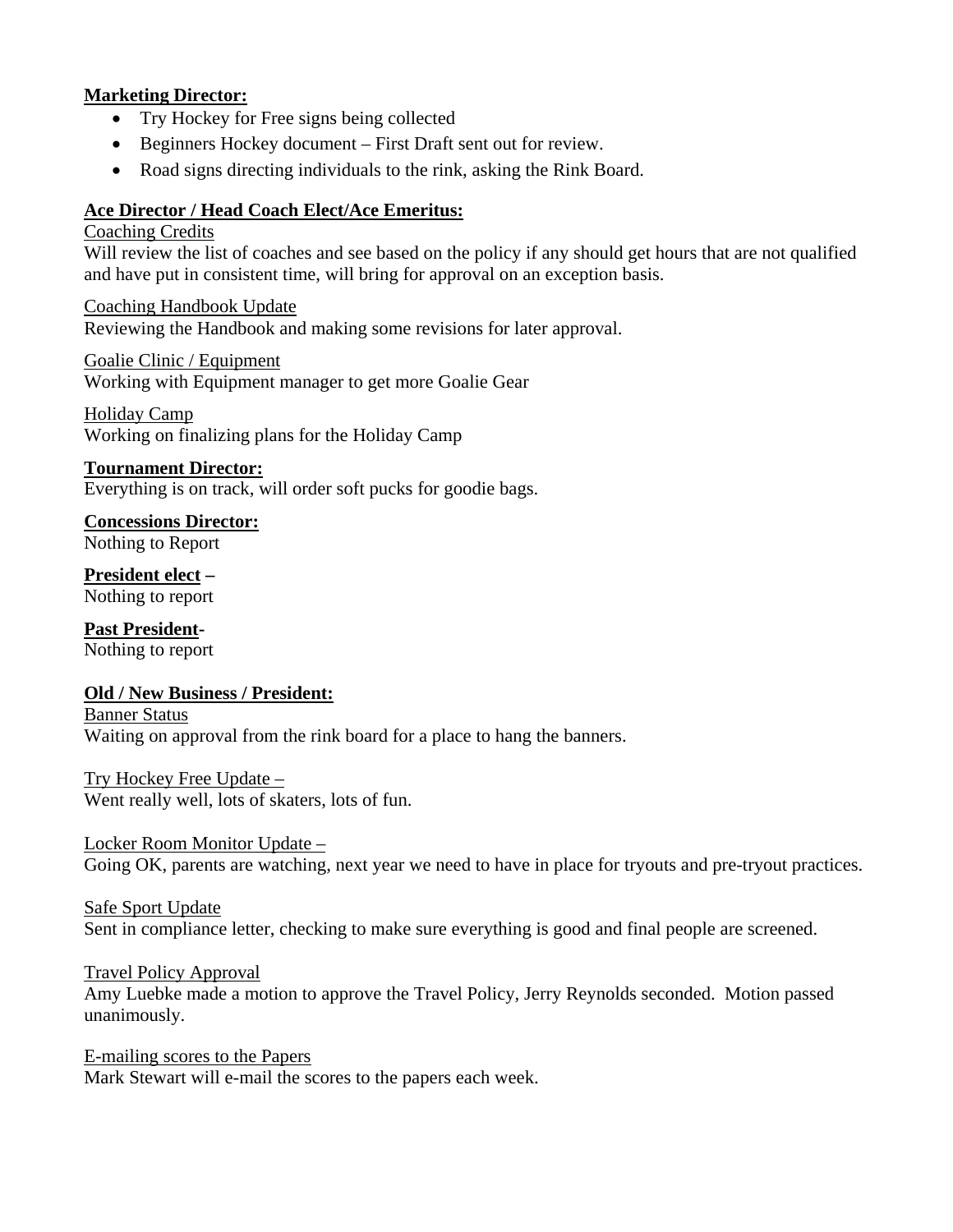### **Marketing Director:**

- Try Hockey for Free signs being collected
- Beginners Hockey document First Draft sent out for review.
- Road signs directing individuals to the rink, asking the Rink Board.

### **Ace Director / Head Coach Elect/Ace Emeritus:**

#### Coaching Credits

Will review the list of coaches and see based on the policy if any should get hours that are not qualified and have put in consistent time, will bring for approval on an exception basis.

Coaching Handbook Update Reviewing the Handbook and making some revisions for later approval.

Goalie Clinic / Equipment Working with Equipment manager to get more Goalie Gear

Holiday Camp Working on finalizing plans for the Holiday Camp

### **Tournament Director:**

Everything is on track, will order soft pucks for goodie bags.

**Concessions Director:** Nothing to Report

**President elect –** Nothing to report

**Past President-**Nothing to report

## **Old / New Business / President:**

Banner Status Waiting on approval from the rink board for a place to hang the banners.

Try Hockey Free Update – Went really well, lots of skaters, lots of fun.

Locker Room Monitor Update – Going OK, parents are watching, next year we need to have in place for tryouts and pre-tryout practices.

Safe Sport Update Sent in compliance letter, checking to make sure everything is good and final people are screened.

### Travel Policy Approval

Amy Luebke made a motion to approve the Travel Policy, Jerry Reynolds seconded. Motion passed unanimously.

E-mailing scores to the Papers Mark Stewart will e-mail the scores to the papers each week.